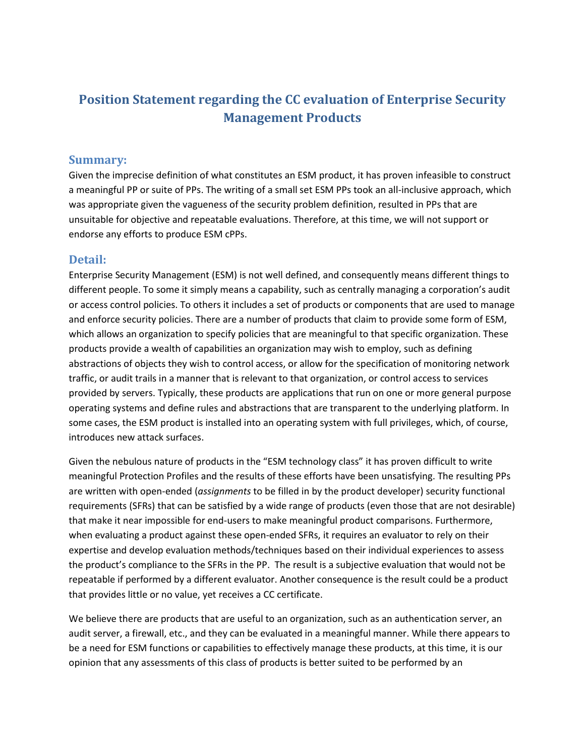## **Position Statement regarding the CC evaluation of Enterprise Security Management Products**

## **Summary:**

Given the imprecise definition of what constitutes an ESM product, it has proven infeasible to construct a meaningful PP or suite of PPs. The writing of a small set ESM PPs took an all-inclusive approach, which was appropriate given the vagueness of the security problem definition, resulted in PPs that are unsuitable for objective and repeatable evaluations. Therefore, at this time, we will not support or endorse any efforts to produce ESM cPPs.

## **Detail:**

Enterprise Security Management (ESM) is not well defined, and consequently means different things to different people. To some it simply means a capability, such as centrally managing a corporation's audit or access control policies. To others it includes a set of products or components that are used to manage and enforce security policies. There are a number of products that claim to provide some form of ESM, which allows an organization to specify policies that are meaningful to that specific organization. These products provide a wealth of capabilities an organization may wish to employ, such as defining abstractions of objects they wish to control access, or allow for the specification of monitoring network traffic, or audit trails in a manner that is relevant to that organization, or control access to services provided by servers. Typically, these products are applications that run on one or more general purpose operating systems and define rules and abstractions that are transparent to the underlying platform. In some cases, the ESM product is installed into an operating system with full privileges, which, of course, introduces new attack surfaces.

Given the nebulous nature of products in the "ESM technology class" it has proven difficult to write meaningful Protection Profiles and the results of these efforts have been unsatisfying. The resulting PPs are written with open-ended (*assignments* to be filled in by the product developer) security functional requirements (SFRs) that can be satisfied by a wide range of products (even those that are not desirable) that make it near impossible for end-users to make meaningful product comparisons. Furthermore, when evaluating a product against these open-ended SFRs, it requires an evaluator to rely on their expertise and develop evaluation methods/techniques based on their individual experiences to assess the product's compliance to the SFRs in the PP. The result is a subjective evaluation that would not be repeatable if performed by a different evaluator. Another consequence is the result could be a product that provides little or no value, yet receives a CC certificate.

We believe there are products that are useful to an organization, such as an authentication server, an audit server, a firewall, etc., and they can be evaluated in a meaningful manner. While there appears to be a need for ESM functions or capabilities to effectively manage these products, at this time, it is our opinion that any assessments of this class of products is better suited to be performed by an